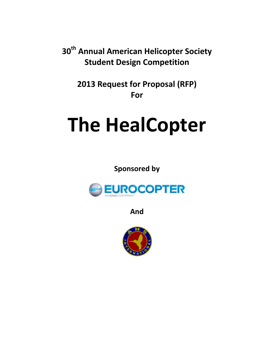**30th Annual American Helicopter Society Student Design Competition** 

> **2013 Request for Proposal (RFP) For**

# **The HealCopter**

**Sponsored by** 



**And** 

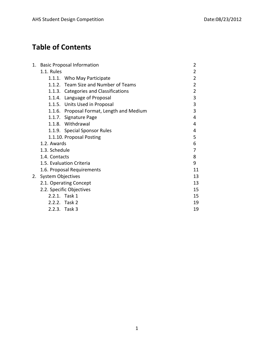# **Table of Contents**

| 1. | <b>Basic Proposal Information</b>         | $\overline{2}$ |
|----|-------------------------------------------|----------------|
|    | 1.1. Rules                                | 2              |
|    | 1.1.1. Who May Participate                | 2              |
|    | 1.1.2. Team Size and Number of Teams      | 2              |
|    | 1.1.3. Categories and Classifications     | $\overline{2}$ |
|    | 1.1.4. Language of Proposal               | 3              |
|    | 1.1.5. Units Used in Proposal             | 3              |
|    | 1.1.6. Proposal Format, Length and Medium | 3              |
|    | 1.1.7. Signature Page                     | 4              |
|    | 1.1.8. Withdrawal                         | 4              |
|    | 1.1.9. Special Sponsor Rules              | 4              |
|    | 1.1.10. Proposal Posting                  | 5              |
|    | 1.2. Awards                               | 6              |
|    | 1.3. Schedule                             | 7              |
|    | 1.4. Contacts                             | 8              |
|    | 1.5. Evaluation Criteria                  | 9              |
|    | 1.6. Proposal Requirements                | 11             |
|    | 2. System Objectives                      | 13             |
|    | 2.1. Operating Concept                    | 13             |
|    | 2.2. Specific Objectives                  | 15             |
|    | 2.2.1. Task 1                             | 15             |
|    | 2.2.2. Task 2                             | 19             |
|    | 2.2.3. Task 3                             | 19             |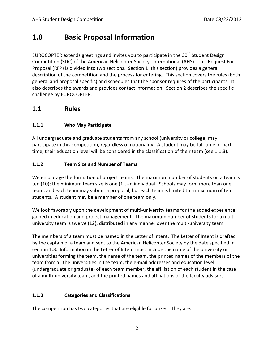## **1.0 Basic Proposal Information**

EUROCOPTER extends greetings and invites you to participate in the  $30<sup>th</sup>$  Student Design Competition (SDC) of the American Helicopter Society, International (AHS). This Request For Proposal (RFP) is divided into two sections. Section 1 (this section) provides a general description of the competition and the process for entering. This section covers the rules (both general and proposal specific) and schedules that the sponsor requires of the participants. It also describes the awards and provides contact information. Section 2 describes the specific challenge by EUROCOPTER.

## **1.1 Rules**

#### **1.1.1 Who May Participate**

All undergraduate and graduate students from any school (university or college) may participate in this competition, regardless of nationality. A student may be full-time or parttime; their education level will be considered in the classification of their team (see 1.1.3).

#### **1.1.2 Team Size and Number of Teams**

We encourage the formation of project teams. The maximum number of students on a team is ten (10); the minimum team size is one (1), an individual. Schools may form more than one team, and each team may submit a proposal, but each team is limited to a maximum of ten students. A student may be a member of one team only.

We look favorably upon the development of multi-university teams for the added experience gained in education and project management. The maximum number of students for a multiuniversity team is twelve (12), distributed in any manner over the multi-university team.

The members of a team must be named in the Letter of Intent. The Letter of Intent is drafted by the captain of a team and sent to the American Helicopter Society by the date specified in section 1.3. Information in the Letter of Intent must include the name of the university or universities forming the team, the name of the team, the printed names of the members of the team from all the universities in the team, the e-mail addresses and education level (undergraduate or graduate) of each team member, the affiliation of each student in the case of a multi-university team, and the printed names and affiliations of the faculty advisors.

#### **1.1.3 Categories and Classifications**

The competition has two categories that are eligible for prizes. They are: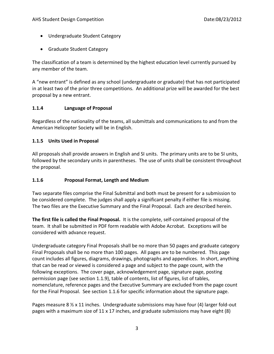- Undergraduate Student Category
- Graduate Student Category

The classification of a team is determined by the highest education level currently pursued by any member of the team.

A "new entrant" is defined as any school (undergraduate or graduate) that has not participated in at least two of the prior three competitions. An additional prize will be awarded for the best proposal by a new entrant.

#### **1.1.4 Language of Proposal**

Regardless of the nationality of the teams, all submittals and communications to and from the American Helicopter Society will be in English.

#### **1.1.5 Units Used in Proposal**

All proposals shall provide answers in English and SI units. The primary units are to be SI units, followed by the secondary units in parentheses. The use of units shall be consistent throughout the proposal.

#### **1.1.6 Proposal Format, Length and Medium**

Two separate files comprise the Final Submittal and both must be present for a submission to be considered complete. The judges shall apply a significant penalty if either file is missing. The two files are the Executive Summary and the Final Proposal. Each are described herein.

**The first file is called the Final Proposal.** It is the complete, self-contained proposal of the team. It shall be submitted in PDF form readable with Adobe Acrobat. Exceptions will be considered with advance request.

Undergraduate category Final Proposals shall be no more than 50 pages and graduate category Final Proposals shall be no more than 100 pages. All pages are to be numbered. This page count includes all figures, diagrams, drawings, photographs and appendices. In short, anything that can be read or viewed is considered a page and subject to the page count, with the following exceptions. The cover page, acknowledgement page, signature page, posting permission page (see section 1.1.9), table of contents, list of figures, list of tables, nomenclature, reference pages and the Executive Summary are excluded from the page count for the Final Proposal. See section 1.1.6 for specific information about the signature page.

Pages measure 8  $\frac{1}{2}$  x 11 inches. Undergraduate submissions may have four (4) larger fold-out pages with a maximum size of 11 x 17 inches, and graduate submissions may have eight (8)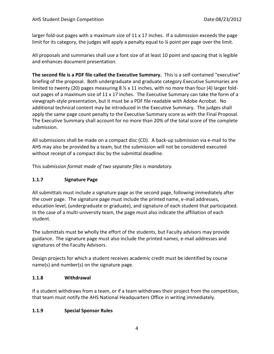larger fold-out pages with a maximum size of  $11 \times 17$  inches. If a submission exceeds the page limit for its category, the judges will apply a penalty equal to ¼ point per page over the limit.

All proposals and summaries shall use a font size of at least 10 point and spacing that is legible and enhances document presentation.

**The second file is a PDF file called the Executive Summary.** This is a self-contained "executive" briefing of the proposal. Both undergraduate and graduate category Executive Summaries are limited to twenty (20) pages measuring  $8 \frac{1}{2} \times 11$  inches, with no more than four (4) larger foldout pages of a maximum size of 11 x 17 inches. The Executive Summary can take the form of a viewgraph-style presentation, but it must be a PDF file readable with Adobe Acrobat. No additional technical content may be introduced in the Executive Summary. The judges shall apply the same page count penalty to the Executive Summary score as with the Final Proposal. The Executive Summary shall account for no more than 20% of the total score of the complete submission.

All submissions shall be made on a compact disc (CD). A back-up submission via e-mail to the AHS may also be provided by a team, but the submission will not be considered executed without receipt of a compact disc by the submittal deadline.

This *submission format made of two separate files is mandatory.*

#### **1.1.7 Signature Page**

All submittals must include a signature page as the second page, following immediately after the cover page. The signature page must include the printed name, e-mail addresses, education level, (undergraduate or graduate), and signature of each student that participated. In the case of a multi-university team, the page must also indicate the affiliation of each student.

The submittals must be wholly the effort of the students, but Faculty advisors may provide guidance. The signature page must also include the printed names, e-mail addresses and signatures of the Faculty Advisors.

Design projects for which a student receives academic credit must be identified by course name(s) and number(s) on the signature page.

#### **1.1.8 Withdrawal**

If a student withdraws from a team, or if a team withdraws their project from the competition, that team must notify the AHS National Headquarters Office in writing immediately.

#### **1.1.9 Special Sponsor Rules**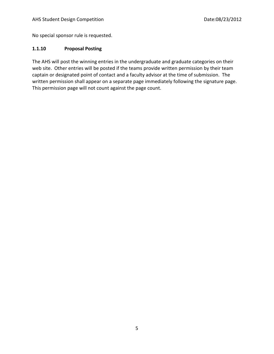No special sponsor rule is requested.

#### **1.1.10 Proposal Posting**

The AHS will post the winning entries in the undergraduate and graduate categories on their web site. Other entries will be posted if the teams provide written permission by their team captain or designated point of contact and a faculty advisor at the time of submission. The written permission shall appear on a separate page immediately following the signature page. This permission page will not count against the page count.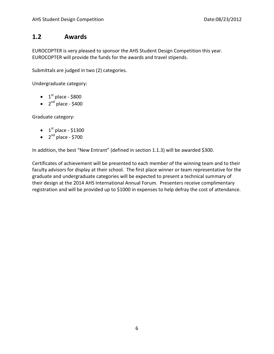### **1.2 Awards**

EUROCOPTER is very pleased to sponsor the AHS Student Design Competition this year. EUROCOPTER will provide the funds for the awards and travel stipends.

Submittals are judged in two (2) categories.

Undergraduate category:

- $\bullet$  1<sup>st</sup> place \$800
- $\bullet$  2<sup>nd</sup> place \$400

Graduate category:

- $\bullet$  1<sup>st</sup> place \$1300
- $\bullet$  2<sup>nd</sup> place \$700

In addition, the best "New Entrant" (defined in section 1.1.3) will be awarded \$300.

Certificates of achievement will be presented to each member of the winning team and to their faculty advisors for display at their school. The first place winner or team representative for the graduate and undergraduate categories will be expected to present a technical summary of their design at the 2014 AHS International Annual Forum. Presenters receive complimentary registration and will be provided up to \$1000 in expenses to help defray the cost of attendance.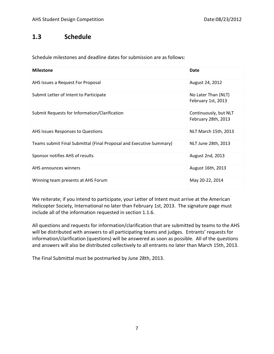## **1.3 Schedule**

Schedule milestones and deadline dates for submission are as follows:

| <b>Milestone</b>                                                    | Date                                         |
|---------------------------------------------------------------------|----------------------------------------------|
| AHS Issues a Request For Proposal                                   | August 24, 2012                              |
| Submit Letter of Intent to Participate                              | No Later Than (NLT)<br>February 1st, 2013    |
| Submit Requests for Information/Clarification                       | Continuously, but NLT<br>February 28th, 2013 |
| AHS Issues Responses to Questions                                   | NLT March 15th, 2013                         |
| Teams submit Final Submittal (Final Proposal and Executive Summary) | NLT June 28th, 2013                          |
| Sponsor notifies AHS of results                                     | August 2nd, 2013                             |
| AHS announces winners                                               | August 16th, 2013                            |
| Winning team presents at AHS Forum                                  | May 20-22, 2014                              |

We reiterate; if you intend to participate, your Letter of Intent must arrive at the American Helicopter Society, International no later than February 1st, 2013. The signature page must include all of the information requested in section 1.1.6.

All questions and requests for information/clarification that are submitted by teams to the AHS will be distributed with answers to all participating teams and judges. Entrants' requests for information/clarification (questions) will be answered as soon as possible. All of the questions and answers will also be distributed collectively to all entrants no later than March 15th, 2013.

The Final Submittal must be postmarked by June 28th, 2013.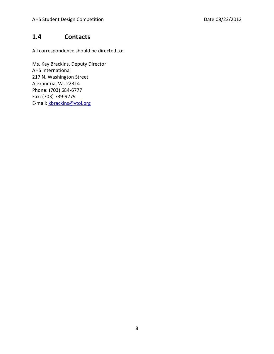## **1.4 Contacts**

All correspondence should be directed to:

Ms. Kay Brackins, Deputy Director AHS International 217 N. Washington Street Alexandria, Va. 22314 Phone: (703) 684-6777 Fax: (703) 739-9279 E-mail: [kbrackins@vtol.org](mailto:kbrackins@vtol.org)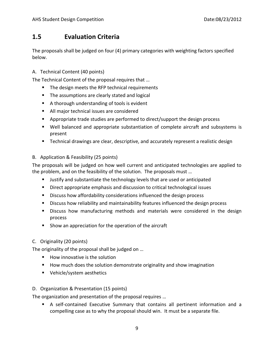## **1.5 Evaluation Criteria**

The proposals shall be judged on four (4) primary categories with weighting factors specified below.

#### A. Technical Content (40 points)

The Technical Content of the proposal requires that …

- **The design meets the RFP technical requirements**
- The assumptions are clearly stated and logical
- A thorough understanding of tools is evident
- All major technical issues are considered
- **•** Appropriate trade studies are performed to direct/support the design process
- Well balanced and appropriate substantiation of complete aircraft and subsystems is present
- Technical drawings are clear, descriptive, and accurately represent a realistic design

#### B. Application & Feasibility (25 points)

The proposals will be judged on how well current and anticipated technologies are applied to the problem, and on the feasibility of the solution. The proposals must …

- Justify and substantiate the technology levels that are used or anticipated
- Direct appropriate emphasis and discussion to critical technological issues
- **Discuss how affordability considerations influenced the design process**
- Discuss how reliability and maintainability features influenced the design process
- **Discuss how manufacturing methods and materials were considered in the design** process
- **Show an appreciation for the operation of the aircraft**

#### C. Originality (20 points)

The originality of the proposal shall be judged on …

- $\blacksquare$  How innovative is the solution
- **How much does the solution demonstrate originality and show imagination**
- **Vehicle/system aesthetics**

#### D. Organization & Presentation (15 points)

The organization and presentation of the proposal requires …

 A self-contained Executive Summary that contains all pertinent information and a compelling case as to why the proposal should win. It must be a separate file.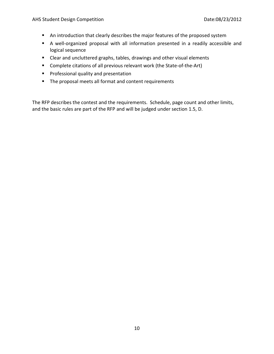- An introduction that clearly describes the major features of the proposed system
- A well-organized proposal with all information presented in a readily accessible and logical sequence
- Clear and uncluttered graphs, tables, drawings and other visual elements
- Complete citations of all previous relevant work (the State-of-the-Art)
- **Professional quality and presentation**
- The proposal meets all format and content requirements

The RFP describes the contest and the requirements. Schedule, page count and other limits, and the basic rules are part of the RFP and will be judged under section 1.5, D.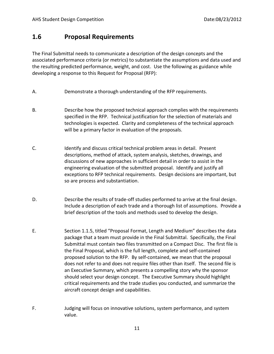## **1.6 Proposal Requirements**

The Final Submittal needs to communicate a description of the design concepts and the associated performance criteria (or metrics) to substantiate the assumptions and data used and the resulting predicted performance, weight, and cost. Use the following as guidance while developing a response to this Request for Proposal (RFP):

- A. Demonstrate a thorough understanding of the RFP requirements.
- B. Describe how the proposed technical approach complies with the requirements specified in the RFP. Technical justification for the selection of materials and technologies is expected. Clarity and completeness of the technical approach will be a primary factor in evaluation of the proposals.
- C. Identify and discuss critical technical problem areas in detail. Present descriptions, method of attack, system analysis, sketches, drawings, and discussions of new approaches in sufficient detail in order to assist in the engineering evaluation of the submitted proposal. Identify and justify all exceptions to RFP technical requirements. Design decisions are important, but so are process and substantiation.
- D. Describe the results of trade-off studies performed to arrive at the final design. Include a description of each trade and a thorough list of assumptions. Provide a brief description of the tools and methods used to develop the design.
- E. Section 1.1.5, titled "Proposal Format, Length and Medium" describes the data package that a team must provide in the Final Submittal. Specifically, the Final Submittal must contain two files transmitted on a Compact Disc. The first file is the Final Proposal, which is the full length, complete and self-contained proposed solution to the RFP. By self-contained, we mean that the proposal does not refer to and does not require files other than itself. The second file is an Executive Summary, which presents a compelling story why the sponsor should select your design concept. The Executive Summary should highlight critical requirements and the trade studies you conducted, and summarize the aircraft concept design and capabilities.
- F. Judging will focus on innovative solutions, system performance, and system value.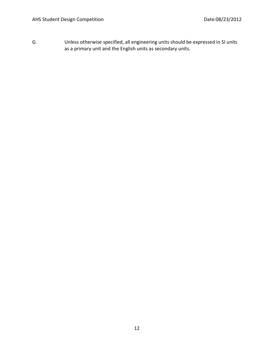G. Unless otherwise specified, all engineering units should be expressed in SI units as a primary unit and the English units as secondary units.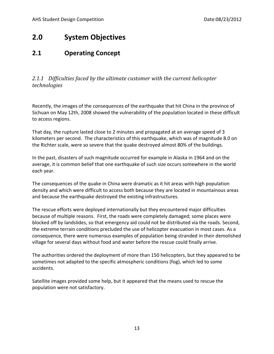## **2.0 System Objectives**

## **2.1 Operating Concept**

*2.1.1 Difficulties faced by the ultimate customer with the current helicopter technologies* 

Recently, the images of the consequences of the earthquake that hit China in the province of Sichuan on May 12th, 2008 showed the vulnerability of the population located in these difficult to access regions.

That day, the rupture lasted close to 2 minutes and propagated at an average speed of 3 kilometers per second. The characteristics of this earthquake, which was of magnitude 8.0 on the Richter scale, were so severe that the quake destroyed almost 80% of the buildings.

In the past, disasters of such magnitude occurred for example in Alaska in 1964 and on the average, it is common belief that one earthquake of such size occurs somewhere in the world each year.

The consequences of the quake in China were dramatic as it hit areas with high population density and which were difficult to access both because they are located in mountainous areas and because the earthquake destroyed the existing infrastructures.

The rescue efforts were deployed internationally but they encountered major difficulties because of multiple reasons. First, the roads were completely damaged; some places were blocked off by landslides, so that emergency aid could not be distributed via the roads. Second, the extreme terrain conditions precluded the use of helicopter evacuation in most cases. As a consequence, there were numerous examples of population being stranded in their demolished village for several days without food and water before the rescue could finally arrive.

The authorities ordered the deployment of more than 150 helicopters, but they appeared to be sometimes not adapted to the specific atmospheric conditions (fog), which led to some accidents.

Satellite images provided some help, but it appeared that the means used to rescue the population were not satisfactory.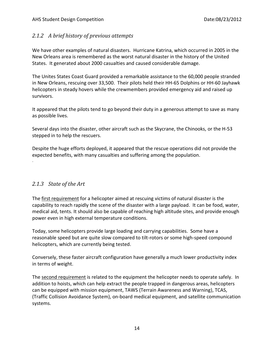#### *2.1.2 A brief history of previous attempts*

We have other examples of natural disasters. Hurricane Katrina, which occurred in 2005 in the New Orleans area is remembered as the worst natural disaster in the history of the United States. It generated about 2000 casualties and caused considerable damage.

The Unites States Coast Guard provided a remarkable assistance to the 60,000 people stranded in New Orleans, rescuing over 33,500. Their pilots held thei[r HH-65 Dolphins](http://www.helis.com/database/modelorg/922/) or [HH-60 Jayhawk](http://www.helis.com/database/modelorg/850/) helicopters in steady hovers while the crewmembers provided emergency aid and raised up survivors.

It appeared that the pilots tend to go beyond their duty in a generous attempt to save as many as possible lives.

Several days into the disaster, other aircraft such as the Skycrane, the Chinooks, or the H-53 stepped in to help the rescuers.

Despite the huge efforts deployed, it appeared that the rescue operations did not provide the expected benefits, with many casualties and suffering among the population.

#### *2.1.3 State of the Art*

.

The first requirement for a helicopter aimed at rescuing victims of natural disaster is the capability to reach rapidly the scene of the disaster with a large payload. It can be food, water, medical aid, tents. It should also be capable of reaching high altitude sites, and provide enough power even in high external temperature conditions.

Today, some helicopters provide large loading and carrying capabilities. Some have a reasonable speed but are quite slow compared to tilt-rotors or some high-speed compound helicopters, which are currently being tested.

Conversely, these faster aircraft configuration have generally a much lower productivity index in terms of weight.

The second requirement is related to the equipment the helicopter needs to operate safely. In addition to hoists, which can help extract the people trapped in dangerous areas, helicopters can be equipped with mission equipment, TAWS (Terrain Awareness and Warning), TCAS, (Traffic Collision Avoidance System), on-board medical equipment, and satellite communication systems.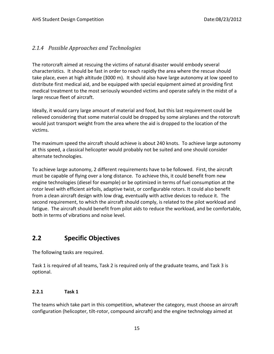#### *2.1.4 Possible Approaches and Technologies*

The rotorcraft aimed at rescuing the victims of natural disaster would embody several characteristics. It should be fast in order to reach rapidly the area where the rescue should take place, even at high altitude (3000 m). It should also have large autonomy at low speed to distribute first medical aid, and be equipped with special equipment aimed at providing first medical treatment to the most seriously wounded victims and operate safely in the midst of a large rescue fleet of aircraft.

Ideally, it would carry large amount of material and food, but this last requirement could be relieved considering that some material could be dropped by some airplanes and the rotorcraft would just transport weight from the area where the aid is dropped to the location of the victims.

The maximum speed the aircraft should achieve is about 240 knots. To achieve large autonomy at this speed, a classical helicopter would probably not be suited and one should consider alternate technologies.

To achieve large autonomy, 2 different requirements have to be followed. First, the aircraft must be capable of flying over a long distance. To achieve this, it could benefit from new engine technologies (diesel for example) or be optimized in terms of fuel consumption at the rotor level with efficient airfoils, adaptive twist, or configurable rotors. It could also benefit from a clean aircraft design with low drag, eventually with active devices to reduce it. The second requirement, to which the aircraft should comply, is related to the pilot workload and fatigue. The aircraft should benefit from pilot aids to reduce the workload, and be comfortable, both in terms of vibrations and noise level.

## **2.2 Specific Objectives**

The following tasks are required.

Task 1 is required of all teams, Task 2 is required only of the graduate teams, and Task 3 is optional.

#### **2.2.1 Task 1**

The teams which take part in this competition, whatever the category, must choose an aircraft configuration (helicopter, tilt-rotor, compound aircraft) and the engine technology aimed at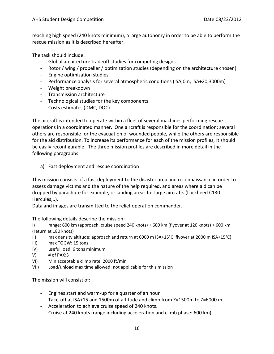reaching high speed (240 knots minimum), a large autonomy in order to be able to perform the rescue mission as it is described hereafter.

The task should include:

- Global architecture tradeoff studies for competing designs.
- Rotor / wing / propeller / optimization studies (depending on the architecture chosen)
- Engine optimization studies
- Performance analysis for several atmospheric conditions (ISA;0m, ISA+20;3000m)
- Weight breakdown
- Transmission architecture
- Technological studies for the key components
- Costs estimates (DMC, DOC)

The aircraft is intended to operate within a fleet of several machines performing rescue operations in a coordinated manner. One aircraft is responsible for the coordination; several others are responsible for the evacuation of wounded people, while the others are responsible for the aid distribution. To increase its performance for each of the mission profiles, It should be easily reconfigurable. The three mission profiles are described in more detail in the following paragraphs:

a) Fast deployment and rescue coordination

This mission consists of a fast deployment to the disaster area and reconnaissance in order to assess damage victims and the nature of the help required, and areas where aid can be dropped by parachute for example, or landing areas for large aircrafts (Lockheed C130 Hercules,..).

Data and images are transmitted to the relief operation commander.

The following details describe the mission:

I) range: 600 km (approach, cruise speed 240 knots) + 600 km (flyover at 120 knots) + 600 km (return at 180 knots)

- II) max density altitude: approach and return at 6000 m ISA+15°C, flyover at 2000 m ISA+15°C)
- III) max TOGW: 15 tons
- IV) useful load: 6 tons minimum
- $V$ ) # of PAX:3
- VI) Min acceptable climb rate: 2000 ft/min
- VII) Load/unload max time allowed: not applicable for this mission

The mission will consist of:

- Engines start and warm-up for a quarter of an hour
- Take-off at ISA+15 and 1500m of altitude and climb from Z=1500m to Z=6000 m
- Acceleration to achieve cruise speed of 240 knots.
- Cruise at 240 knots (range including acceleration and climb phase: 600 km)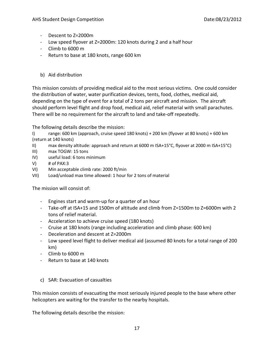- Descent to Z=2000m
- Low speed flyover at Z=2000m: 120 knots during 2 and a half hour
- Climb to 6000 m
- Return to base at 180 knots, range 600 km
- b) Aid distribution

This mission consists of providing medical aid to the most serious victims. One could consider the distribution of water, water purification devices, tents, food, clothes, medical aid, depending on the type of event for a total of 2 tons per aircraft and mission. The aircraft should perform level flight and drop food, medical aid, relief material with small parachutes. There will be no requirement for the aircraft to land and take-off repeatedly.

The following details describe the mission:

I) range: 600 km (approach, cruise speed 180 knots) + 200 km (flyover at 80 knots) + 600 km (return at 140 knots)

- II) max density altitude: approach and return at 6000 m ISA+15°C, flyover at 2000 m ISA+15°C)
- III) max TOGW: 15 tons
- IV) useful load: 6 tons minimum
- $V$ ) # of PAX:3
- VI) Min acceptable climb rate: 2000 ft/min
- VII) Load/unload max time allowed: 1 hour for 2 tons of material

The mission will consist of:

- Engines start and warm-up for a quarter of an hour
- Take-off at ISA+15 and 1500m of altitude and climb from Z=1500m to Z=6000m with 2 tons of relief material.
- Acceleration to achieve cruise speed (180 knots)
- Cruise at 180 knots (range including acceleration and climb phase: 600 km)
- Deceleration and descent at Z=2000m
- Low speed level flight to deliver medical aid (assumed 80 knots for a total range of 200 km)
- Climb to 6000 m
- Return to base at 140 knots
- c) SAR: Evacuation of casualties

This mission consists of evacuating the most seriously injured people to the base where other helicopters are waiting for the transfer to the nearby hospitals.

The following details describe the mission: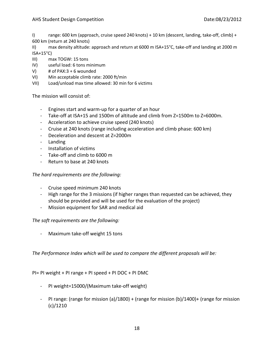- I) range: 600 km (approach, cruise speed 240 knots) + 10 km (descent, landing, take-off, climb) + 600 km (return at 240 knots)
- II) max density altitude: approach and return at 6000 m ISA+15°C, take-off and landing at 2000 m  $ISA+15^{\circ}C$
- III) max TOGW: 15 tons
- IV) useful load: 6 tons minimum
- V) # of PAX:3 + 6 wounded
- VI) Min acceptable climb rate: 2000 ft/min
- VII) Load/unload max time allowed: 30 min for 6 victims

The mission will consist of:

- Engines start and warm-up for a quarter of an hour
- Take-off at ISA+15 and 1500m of altitude and climb from Z=1500m to Z=6000m.
- Acceleration to achieve cruise speed (240 knots)
- Cruise at 240 knots (range including acceleration and climb phase: 600 km)
- Deceleration and descent at Z=2000m
- Landing
- Installation of victims
- Take-off and climb to 6000 m
- Return to base at 240 knots

#### *The hard requirements are the following:*

- Cruise speed minimum 240 knots
- High range for the 3 missions (if higher ranges than requested can be achieved, they should be provided and will be used for the evaluation of the project)
- Mission equipment for SAR and medical aid

#### *The soft requirements are the following:*

- Maximum take-off weight 15 tons

*The Performance Index which will be used to compare the different proposals will be:* 

#### PI= PI weight + PI range + PI speed + PI DOC + PI DMC

- PI weight=15000/(Maximum take-off weight)
- PI range: (range for mission (a)/1800) + (range for mission (b)/1400)+ (range for mission (c)/1210